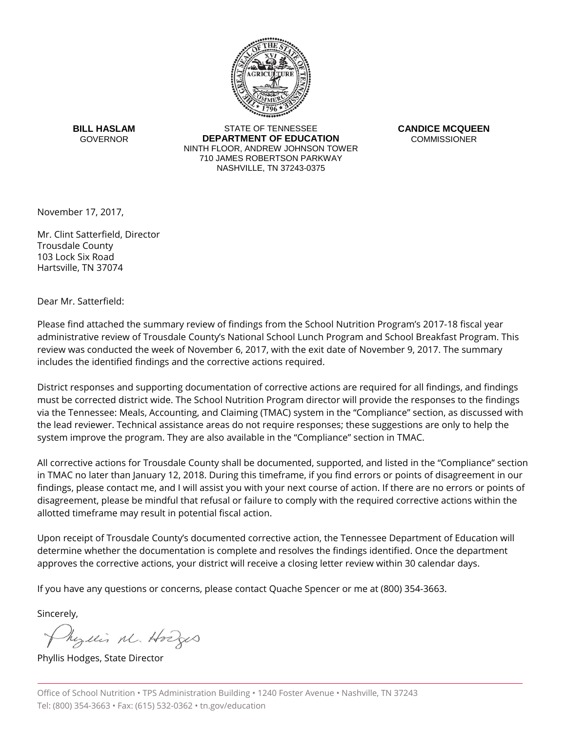

**BILL HASLAM GOVERNOR** 

STATE OF TENNESSEE **DEPARTMENT OF EDUCATION** NINTH FLOOR, ANDREW JOHNSON TOWER 710 JAMES ROBERTSON PARKWAY NASHVILLE, TN 37243-0375

**CANDICE MCQUEEN COMMISSIONER** 

November 17, 2017,

Mr. Clint Satterfield, Director Trousdale County 103 Lock Six Road Hartsville, TN 37074

Dear Mr. Satterfield:

Please find attached the summary review of findings from the School Nutrition Program's 2017-18 fiscal year administrative review of Trousdale County's National School Lunch Program and School Breakfast Program. This review was conducted the week of November 6, 2017, with the exit date of November 9, 2017. The summary includes the identified findings and the corrective actions required.

District responses and supporting documentation of corrective actions are required for all findings, and findings must be corrected district wide. The School Nutrition Program director will provide the responses to the findings via the Tennessee: Meals, Accounting, and Claiming (TMAC) system in the "Compliance" section, as discussed with the lead reviewer. Technical assistance areas do not require responses; these suggestions are only to help the system improve the program. They are also available in the "Compliance" section in TMAC.

All corrective actions for Trousdale County shall be documented, supported, and listed in the "Compliance" section in TMAC no later than January 12, 2018. During this timeframe, if you find errors or points of disagreement in our findings, please contact me, and I will assist you with your next course of action. If there are no errors or points of disagreement, please be mindful that refusal or failure to comply with the required corrective actions within the allotted timeframe may result in potential fiscal action.

Upon receipt of Trousdale County's documented corrective action, the Tennessee Department of Education will determine whether the documentation is complete and resolves the findings identified. Once the department approves the corrective actions, your district will receive a closing letter review within 30 calendar days.

If you have any questions or concerns, please contact Quache Spencer or me at (800) 354-3663.

Sincerely,

Myllis M. Hodges

Phyllis Hodges, State Director